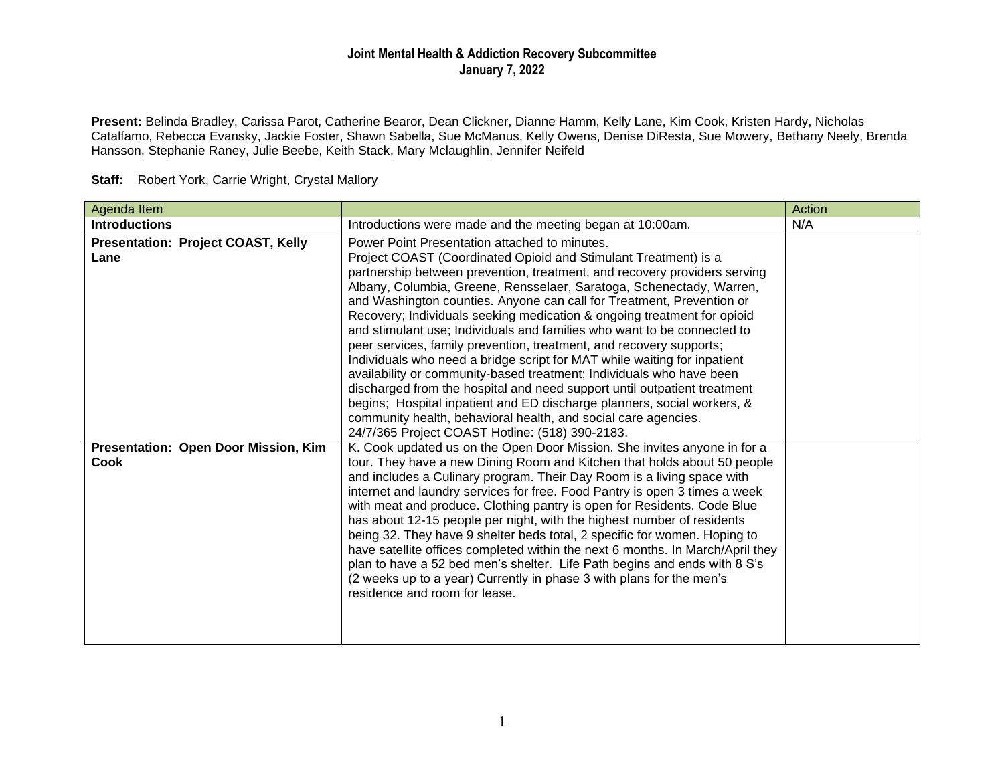## **Joint Mental Health & Addiction Recovery Subcommittee January 7, 2022**

**Present:** Belinda Bradley, Carissa Parot, Catherine Bearor, Dean Clickner, Dianne Hamm, Kelly Lane, Kim Cook, Kristen Hardy, Nicholas Catalfamo, Rebecca Evansky, Jackie Foster, Shawn Sabella, Sue McManus, Kelly Owens, Denise DiResta, Sue Mowery, Bethany Neely, Brenda Hansson, Stephanie Raney, Julie Beebe, Keith Stack, Mary Mclaughlin, Jennifer Neifeld

| Agenda Item                                         |                                                                                                                                                                                                                                                                                                                                                                                                                                                                                                                                                                                                                                                                                                                                                                                                                                                                                                                                                                                                             | Action |
|-----------------------------------------------------|-------------------------------------------------------------------------------------------------------------------------------------------------------------------------------------------------------------------------------------------------------------------------------------------------------------------------------------------------------------------------------------------------------------------------------------------------------------------------------------------------------------------------------------------------------------------------------------------------------------------------------------------------------------------------------------------------------------------------------------------------------------------------------------------------------------------------------------------------------------------------------------------------------------------------------------------------------------------------------------------------------------|--------|
| <b>Introductions</b>                                | Introductions were made and the meeting began at 10:00am.                                                                                                                                                                                                                                                                                                                                                                                                                                                                                                                                                                                                                                                                                                                                                                                                                                                                                                                                                   | N/A    |
| <b>Presentation: Project COAST, Kelly</b><br>Lane   | Power Point Presentation attached to minutes.<br>Project COAST (Coordinated Opioid and Stimulant Treatment) is a<br>partnership between prevention, treatment, and recovery providers serving<br>Albany, Columbia, Greene, Rensselaer, Saratoga, Schenectady, Warren,<br>and Washington counties. Anyone can call for Treatment, Prevention or<br>Recovery; Individuals seeking medication & ongoing treatment for opioid<br>and stimulant use; Individuals and families who want to be connected to<br>peer services, family prevention, treatment, and recovery supports;<br>Individuals who need a bridge script for MAT while waiting for inpatient<br>availability or community-based treatment; Individuals who have been<br>discharged from the hospital and need support until outpatient treatment<br>begins; Hospital inpatient and ED discharge planners, social workers, &<br>community health, behavioral health, and social care agencies.<br>24/7/365 Project COAST Hotline: (518) 390-2183. |        |
| Presentation: Open Door Mission, Kim<br><b>Cook</b> | K. Cook updated us on the Open Door Mission. She invites anyone in for a<br>tour. They have a new Dining Room and Kitchen that holds about 50 people<br>and includes a Culinary program. Their Day Room is a living space with<br>internet and laundry services for free. Food Pantry is open 3 times a week<br>with meat and produce. Clothing pantry is open for Residents. Code Blue<br>has about 12-15 people per night, with the highest number of residents<br>being 32. They have 9 shelter beds total, 2 specific for women. Hoping to<br>have satellite offices completed within the next 6 months. In March/April they<br>plan to have a 52 bed men's shelter. Life Path begins and ends with 8 S's<br>(2 weeks up to a year) Currently in phase 3 with plans for the men's<br>residence and room for lease.                                                                                                                                                                                      |        |

**Staff:** Robert York, Carrie Wright, Crystal Mallory